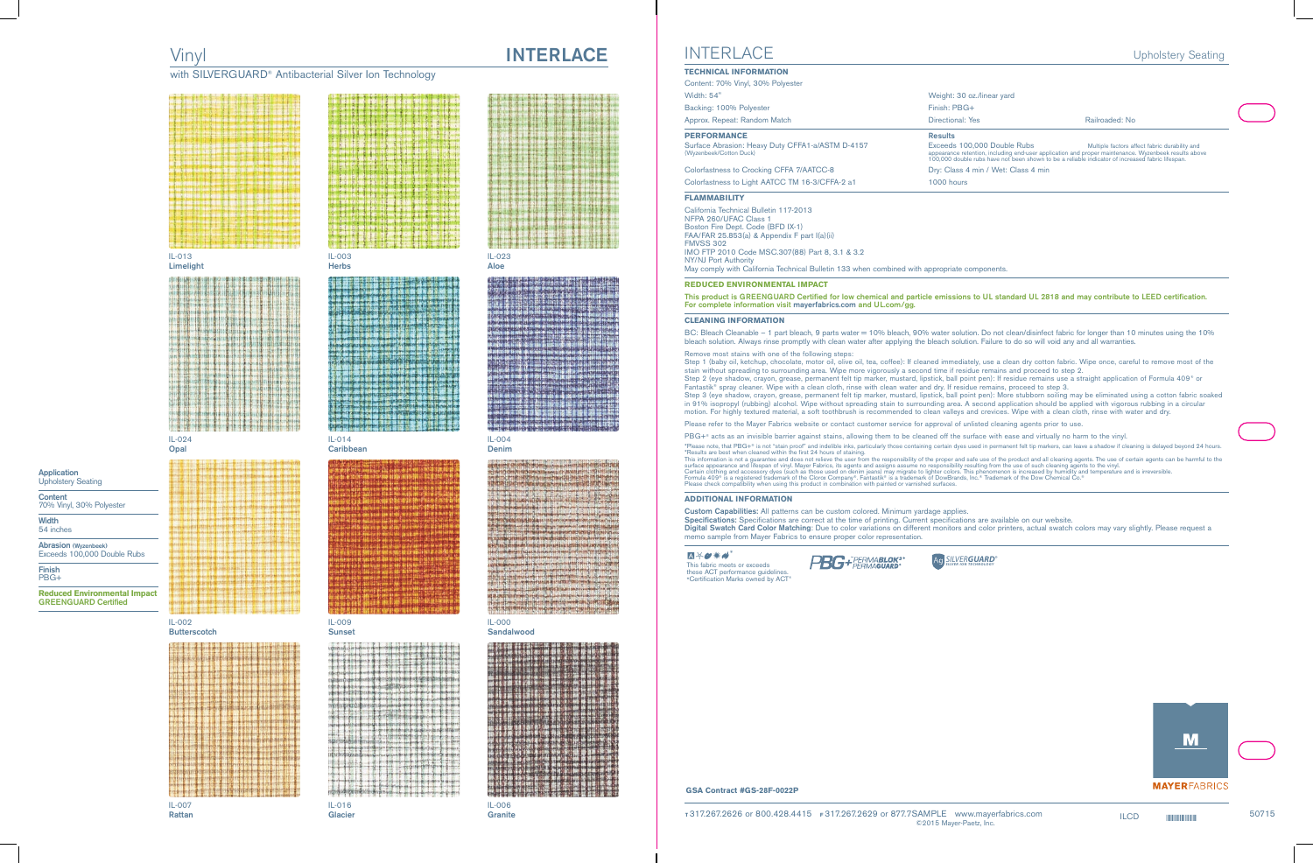with SILVERGUARD<sup>®</sup> Antibacterial Silver Ion Technology

# Vinyl **INTERLACE**

得市道

灘

有限道路



**Limelight**



### IL-024 **Opal**

### IL-002 **Butterscotch**



IL-007 **Rattan**



IL-003 **Herbs**



**Caribbean**

### IL-009 **Sunset**

ani 网络 南朝南南北市道 潜

### 4.18.1 着山溪 **All of the Color**

IL-023 **Aloe**



### IL-004 **Denim**



## **Sandalwood**

IL-016

### IL-006 **Granite**

**Application** Upholstery Seating

**Content** 70% Vinyl, 30% Polyester

**Width** 54 inches

**Abrasion (Wyzenbeek)** Exceeds 100,000 Double Rubs

**Finish** PBG+

**Reduced Environmental Impact GREENGUARD Certified**